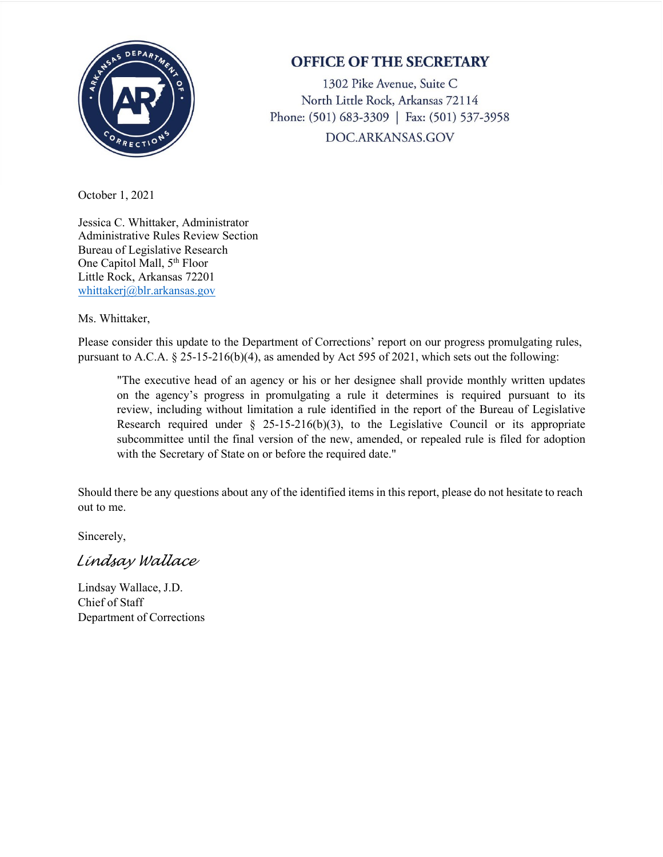

## **OFFICE OF THE SECRETARY**

1302 Pike Avenue, Suite C North Little Rock, Arkansas 72114 Phone: (501) 683-3309 | Fax: (501) 537-3958 DOC.ARKANSAS.GOV

October 1, 2021

Jessica C. Whittaker, Administrator Administrative Rules Review Section Bureau of Legislative Research One Capitol Mall, 5<sup>th</sup> Floor Little Rock, Arkansas 72201 [whittakerj@blr.arkansas.gov](mailto:whittakerj@blr.arkansas.gov)

Ms. Whittaker,

Please consider this update to the Department of Corrections' report on our progress promulgating rules, pursuant to A.C.A. § 25-15-216(b)(4), as amended by Act 595 of 2021, which sets out the following:

"The executive head of an agency or his or her designee shall provide monthly written updates on the agency's progress in promulgating a rule it determines is required pursuant to its review, including without limitation a rule identified in the report of the Bureau of Legislative Research required under  $\S$  25-15-216(b)(3), to the Legislative Council or its appropriate subcommittee until the final version of the new, amended, or repealed rule is filed for adoption with the Secretary of State on or before the required date."

Should there be any questions about any of the identified items in this report, please do not hesitate to reach out to me.

Sincerely,

*Lindsay Wallace*

Lindsay Wallace, J.D. Chief of Staff Department of Corrections